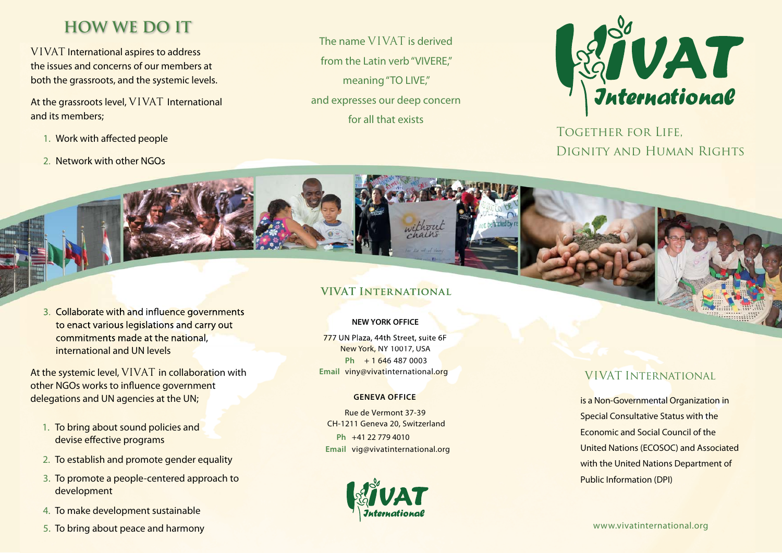## **HOW WE DO IT**

VIVAT International aspires to address the issues and concerns of our members at both the grassroots, and the systemic levels.

At the grassroots level, VIVAT International and its members;

- 1. Work with affected people
- 2. Network with other NGOs

The name VIVAT is derived from the Latin verb "VIVERE," meaning "TO LIVE," and expresses our deep concern for all that exists



Together for Life, Dignity and Human Rights



At the systemic level, VIVAT in collaboration with other NGOs works to influence government delegations and UN agencies at the UN;

- 1. To bring about sound policies and devise effective programs
- 2. To establish and promote gender equality
- 3. To promote a people-centered approach to development
- 4. To make development sustainable
- 5. To bring about peace and harmony

### **VIVAT International**

without

### **NEW YORK OFFICE**

777 UN Plaza, 44th Street, suite 6F New York, NY 10017, USA **Ph** + 1 646 487 0003 **Email** viny@vivatinternational.org

#### **GENEVA OFFICE**

**Ph** +41 22 779 4010 **Email** vig@vivatinternational.org Rue de Vermont 37-39CH-1211 Geneva 20, Switzerland



## VIVAT International

is a Non-Governmental Organization in Special Consultative Status with the Economic and Social Council of the United Nations (ECOSOC) and Associated with the United Nations Department of Public Information (DPI)